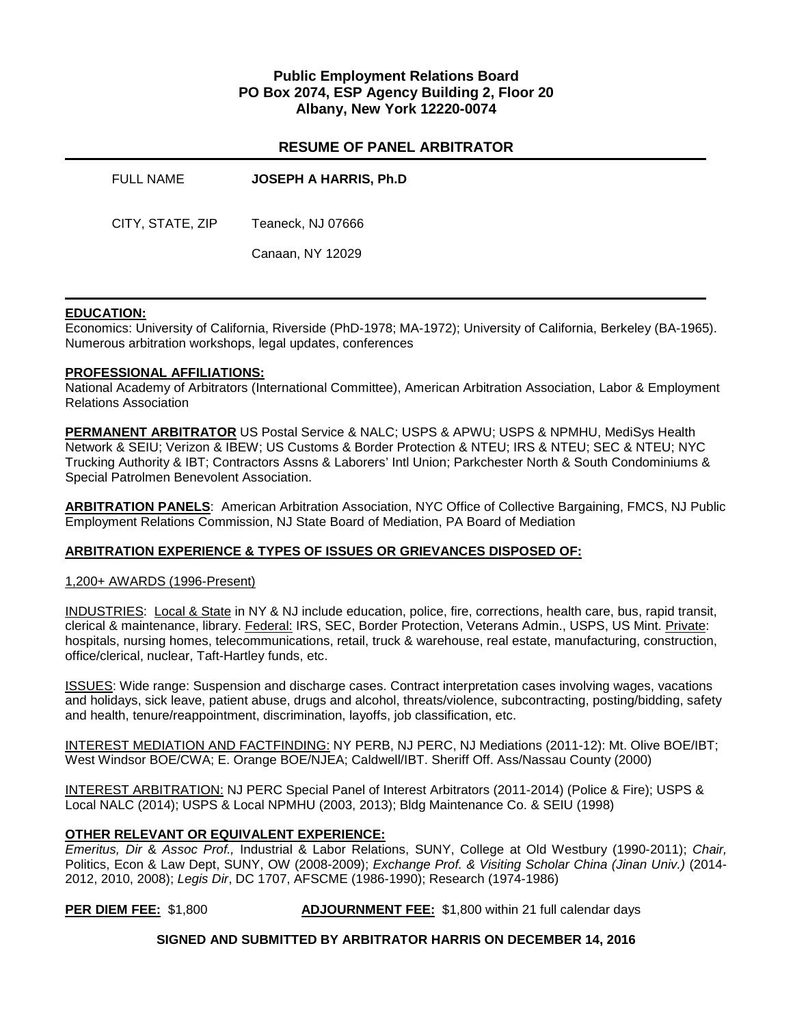# **Public Employment Relations Board PO Box 2074, ESP Agency Building 2, Floor 20 Albany, New York 12220-0074**

# **RESUME OF PANEL ARBITRATOR**

| <b>FULL NAME</b> | <b>JOSEPH A HARRIS, Ph.D</b> |
|------------------|------------------------------|
| CITY, STATE, ZIP | Teaneck, NJ 07666            |
|                  | Canaan, NY 12029             |

### **EDUCATION:**

Economics: University of California, Riverside (PhD-1978; MA-1972); University of California, Berkeley (BA-1965). Numerous arbitration workshops, legal updates, conferences

### **PROFESSIONAL AFFILIATIONS:**

National Academy of Arbitrators (International Committee), American Arbitration Association, Labor & Employment Relations Association

**PERMANENT ARBITRATOR** US Postal Service & NALC; USPS & APWU; USPS & NPMHU, MediSys Health Network & SEIU; Verizon & IBEW; US Customs & Border Protection & NTEU; IRS & NTEU; SEC & NTEU; NYC Trucking Authority & IBT; Contractors Assns & Laborers' Intl Union; Parkchester North & South Condominiums & Special Patrolmen Benevolent Association.

**ARBITRATION PANELS**: American Arbitration Association, NYC Office of Collective Bargaining, FMCS, NJ Public Employment Relations Commission, NJ State Board of Mediation, PA Board of Mediation

### **ARBITRATION EXPERIENCE & TYPES OF ISSUES OR GRIEVANCES DISPOSED OF:**

1,200+ AWARDS (1996-Present)

INDUSTRIES: Local & State in NY & NJ include education, police, fire, corrections, health care, bus, rapid transit, clerical & maintenance, library. Federal: IRS, SEC, Border Protection, Veterans Admin., USPS, US Mint. Private: hospitals, nursing homes, telecommunications, retail, truck & warehouse, real estate, manufacturing, construction, office/clerical, nuclear, Taft-Hartley funds, etc.

ISSUES: Wide range: Suspension and discharge cases. Contract interpretation cases involving wages, vacations and holidays, sick leave, patient abuse, drugs and alcohol, threats/violence, subcontracting, posting/bidding, safety and health, tenure/reappointment, discrimination, layoffs, job classification, etc.

INTEREST MEDIATION AND FACTFINDING: NY PERB, NJ PERC, NJ Mediations (2011-12): Mt. Olive BOE/IBT; West Windsor BOE/CWA; E. Orange BOE/NJEA; Caldwell/IBT. Sheriff Off. Ass/Nassau County (2000)

INTEREST ARBITRATION: NJ PERC Special Panel of Interest Arbitrators (2011-2014) (Police & Fire); USPS & Local NALC (2014); USPS & Local NPMHU (2003, 2013); Bldg Maintenance Co. & SEIU (1998)

### **OTHER RELEVANT OR EQUIVALENT EXPERIENCE:**

*Emeritus, Dir* & *Assoc Prof.,* Industrial & Labor Relations, SUNY, College at Old Westbury (1990-2011); *Chair,* Politics, Econ & Law Dept, SUNY, OW (2008-2009); *Exchange Prof. & Visiting Scholar China (Jinan Univ.)* (2014- 2012, 2010, 2008); *Legis Dir*, DC 1707, AFSCME (1986-1990); Research (1974-1986)

**PER DIEM FEE:** \$1,800 **ADJOURNMENT FEE:** \$1,800 within 21 full calendar days

**SIGNED AND SUBMITTED BY ARBITRATOR HARRIS ON DECEMBER 14, 2016**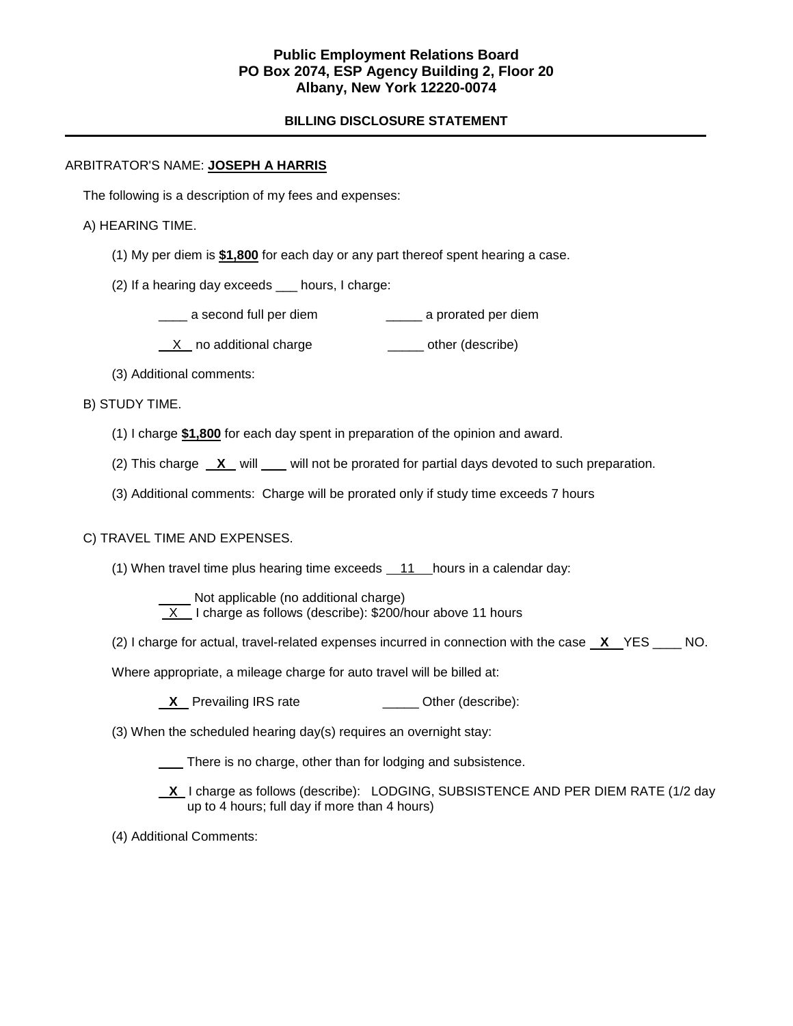# **Public Employment Relations Board PO Box 2074, ESP Agency Building 2, Floor 20 Albany, New York 12220-0074**

### **BILLING DISCLOSURE STATEMENT**

### ARBITRATOR'S NAME: **JOSEPH A HARRIS**

The following is a description of my fees and expenses:

A) HEARING TIME.

- (1) My per diem is **\$1,800** for each day or any part thereof spent hearing a case.
- (2) If a hearing day exceeds \_\_\_ hours, I charge:
	- \_\_\_\_ a second full per diem \_\_\_\_\_ a prorated per diem
	- X no additional charge \_\_\_\_\_\_ other (describe)
- (3) Additional comments:

B) STUDY TIME.

- (1) I charge **\$1,800** for each day spent in preparation of the opinion and award.
- (2) This charge  $X$  will will not be prorated for partial days devoted to such preparation.
- (3) Additional comments: Charge will be prorated only if study time exceeds 7 hours

# C) TRAVEL TIME AND EXPENSES.

(1) When travel time plus hearing time exceeds  $11$  hours in a calendar day:

 Not applicable (no additional charge)  $X$  I charge as follows (describe): \$200/hour above 11 hours

(2) I charge for actual, travel-related expenses incurred in connection with the case **X** YES \_\_\_\_ NO.

Where appropriate, a mileage charge for auto travel will be billed at:

- **X** Prevailing IRS rate \_\_\_\_\_\_\_\_\_\_\_\_\_\_\_\_\_ Other (describe):
- (3) When the scheduled hearing day(s) requires an overnight stay:
	- There is no charge, other than for lodging and subsistence.

 **X** I charge as follows (describe): LODGING, SUBSISTENCE AND PER DIEM RATE (1/2 day up to 4 hours; full day if more than 4 hours)

(4) Additional Comments: